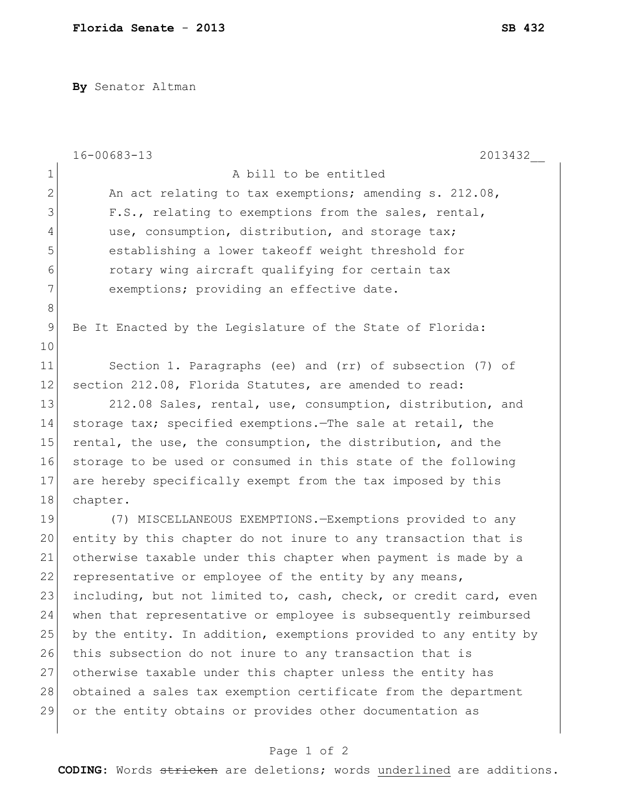**By** Senator Altman

|                | $16 - 00683 - 13$<br>2013432                                     |
|----------------|------------------------------------------------------------------|
| $\mathbf 1$    | A bill to be entitled                                            |
| $\overline{2}$ | An act relating to tax exemptions; amending s. 212.08,           |
| 3              | F.S., relating to exemptions from the sales, rental,             |
| $\overline{4}$ | use, consumption, distribution, and storage tax;                 |
| 5              | establishing a lower takeoff weight threshold for                |
| 6              | rotary wing aircraft qualifying for certain tax                  |
| 7              | exemptions; providing an effective date.                         |
| $8\,$          |                                                                  |
| $\mathsf 9$    | Be It Enacted by the Legislature of the State of Florida:        |
| 10             |                                                                  |
| 11             | Section 1. Paragraphs (ee) and (rr) of subsection (7) of         |
| 12             | section 212.08, Florida Statutes, are amended to read:           |
| 13             | 212.08 Sales, rental, use, consumption, distribution, and        |
| 14             | storage tax; specified exemptions. The sale at retail, the       |
| 15             | rental, the use, the consumption, the distribution, and the      |
| 16             | storage to be used or consumed in this state of the following    |
| 17             | are hereby specifically exempt from the tax imposed by this      |
| 18             | chapter.                                                         |
| 19             | (7) MISCELLANEOUS EXEMPTIONS. - Exemptions provided to any       |
| 20             | entity by this chapter do not inure to any transaction that is   |
| 21             | otherwise taxable under this chapter when payment is made by a   |
| 22             | representative or employee of the entity by any means,           |
| 23             | including, but not limited to, cash, check, or credit card, even |
| 24             | when that representative or employee is subsequently reimbursed  |
| 25             | by the entity. In addition, exemptions provided to any entity by |
| 26             | this subsection do not inure to any transaction that is          |
| 27             | otherwise taxable under this chapter unless the entity has       |
| 28             | obtained a sales tax exemption certificate from the department   |
| 29             | or the entity obtains or provides other documentation as         |
|                |                                                                  |

## Page 1 of 2

**CODING**: Words stricken are deletions; words underlined are additions.